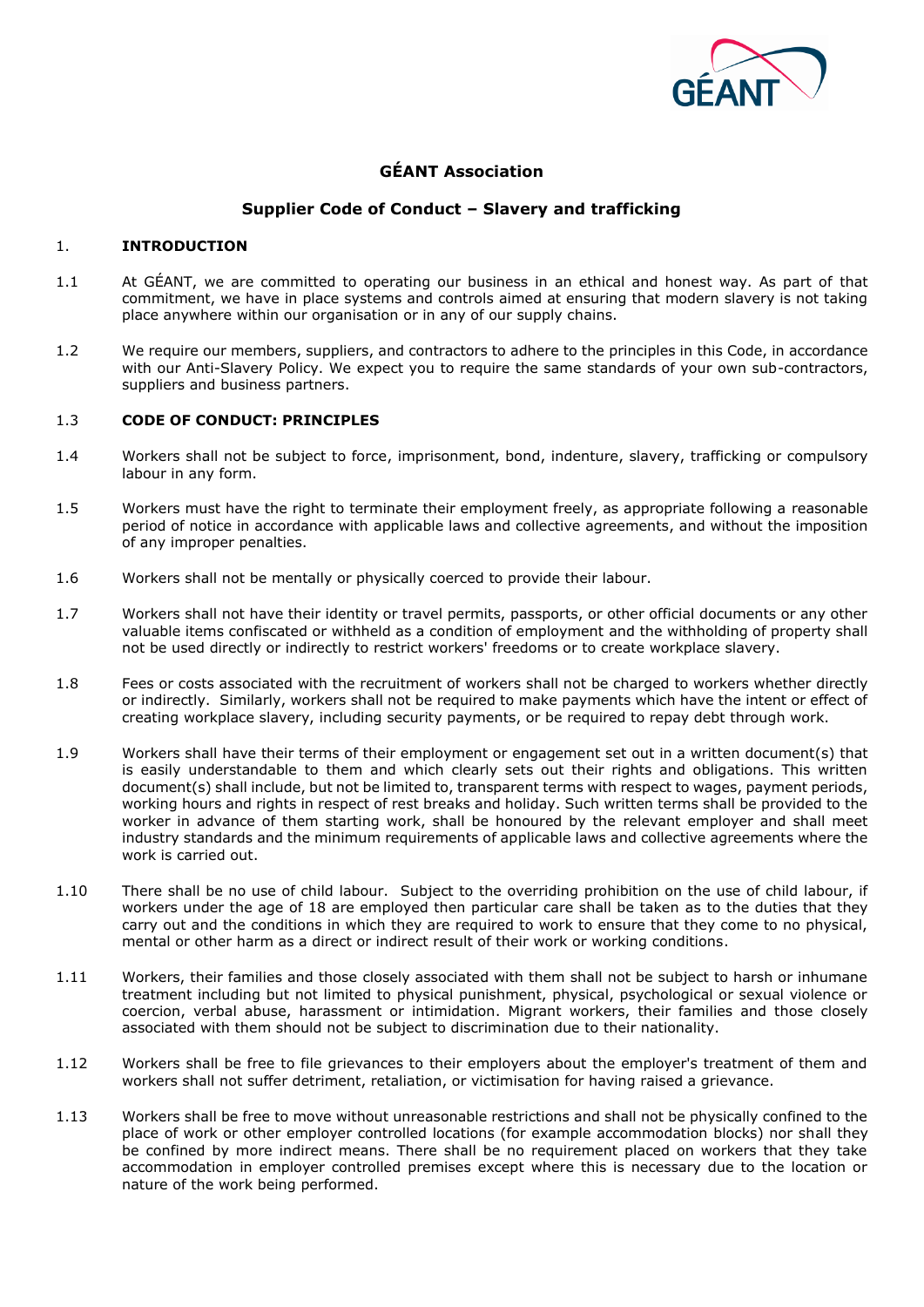

# **GÉANT Association**

# **Supplier Code of Conduct – Slavery and trafficking**

# 1. **INTRODUCTION**

- 1.1 At GÉANT, we are committed to operating our business in an ethical and honest way. As part of that commitment, we have in place systems and controls aimed at ensuring that modern slavery is not taking place anywhere within our organisation or in any of our supply chains.
- 1.2 We require our members, suppliers, and contractors to adhere to the principles in this Code, in accordance with our Anti-Slavery Policy. We expect you to require the same standards of your own sub-contractors, suppliers and business partners.

# 1.3 **CODE OF CONDUCT: PRINCIPLES**

- 1.4 Workers shall not be subject to force, imprisonment, bond, indenture, slavery, trafficking or compulsory labour in any form.
- 1.5 Workers must have the right to terminate their employment freely, as appropriate following a reasonable period of notice in accordance with applicable laws and collective agreements, and without the imposition of any improper penalties.
- 1.6 Workers shall not be mentally or physically coerced to provide their labour.
- 1.7 Workers shall not have their identity or travel permits, passports, or other official documents or any other valuable items confiscated or withheld as a condition of employment and the withholding of property shall not be used directly or indirectly to restrict workers' freedoms or to create workplace slavery.
- 1.8 Fees or costs associated with the recruitment of workers shall not be charged to workers whether directly or indirectly. Similarly, workers shall not be required to make payments which have the intent or effect of creating workplace slavery, including security payments, or be required to repay debt through work.
- 1.9 Workers shall have their terms of their employment or engagement set out in a written document(s) that is easily understandable to them and which clearly sets out their rights and obligations. This written document(s) shall include, but not be limited to, transparent terms with respect to wages, payment periods, working hours and rights in respect of rest breaks and holiday. Such written terms shall be provided to the worker in advance of them starting work, shall be honoured by the relevant employer and shall meet industry standards and the minimum requirements of applicable laws and collective agreements where the work is carried out.
- 1.10 There shall be no use of child labour. Subject to the overriding prohibition on the use of child labour, if workers under the age of 18 are employed then particular care shall be taken as to the duties that they carry out and the conditions in which they are required to work to ensure that they come to no physical, mental or other harm as a direct or indirect result of their work or working conditions.
- 1.11 Workers, their families and those closely associated with them shall not be subject to harsh or inhumane treatment including but not limited to physical punishment, physical, psychological or sexual violence or coercion, verbal abuse, harassment or intimidation. Migrant workers, their families and those closely associated with them should not be subject to discrimination due to their nationality.
- 1.12 Workers shall be free to file grievances to their employers about the employer's treatment of them and workers shall not suffer detriment, retaliation, or victimisation for having raised a grievance.
- 1.13 Workers shall be free to move without unreasonable restrictions and shall not be physically confined to the place of work or other employer controlled locations (for example accommodation blocks) nor shall they be confined by more indirect means. There shall be no requirement placed on workers that they take accommodation in employer controlled premises except where this is necessary due to the location or nature of the work being performed.